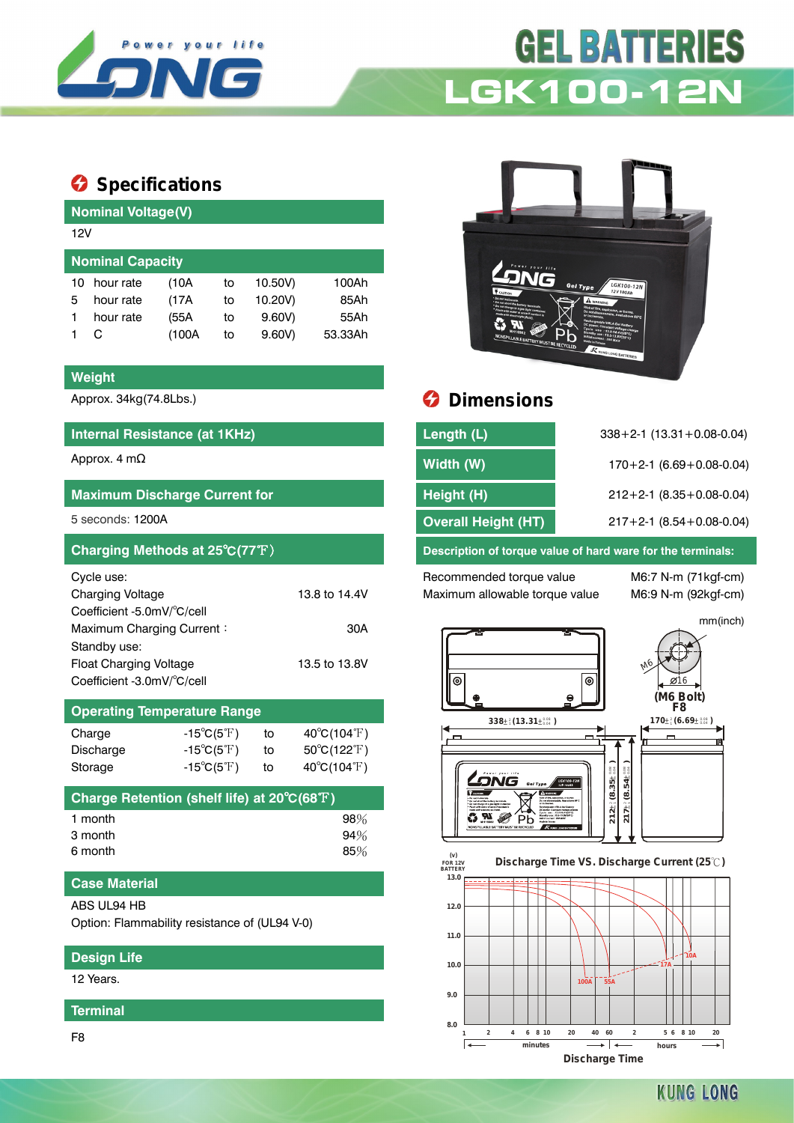

# **GEL BATTERIES LGK100-12N**

### $\bullet$  Specifications

| Nominal Voltage(V) |                         |       |    |         |         |  |  |  |  |
|--------------------|-------------------------|-------|----|---------|---------|--|--|--|--|
| 12V                |                         |       |    |         |         |  |  |  |  |
|                    | <b>Nominal Capacity</b> |       |    |         |         |  |  |  |  |
| 10                 | hour rate               | (10A  | to | 10.50V) | 100Ah   |  |  |  |  |
| 5                  | hour rate               | (17A  | to | 10.20V) | 85Ah    |  |  |  |  |
|                    | hour rate               | (55A  | to | 9.60V   | 55Ah    |  |  |  |  |
|                    | C                       | (100A | to | 9.60V   | 53.33Ah |  |  |  |  |
|                    |                         |       |    |         |         |  |  |  |  |

#### **Weight**

#### **Internal Resistance (at 1KHz)**

| <b>Maximum Discharge Current for</b> |               |
|--------------------------------------|---------------|
| 5 seconds: 1200A                     |               |
| Charging Methods at 25°C(77°F)       |               |
| Cycle use:                           |               |
| Charging Voltage                     | 13.8 to 14.4V |
| Coefficient -5.0mV/°C/cell           |               |
| Maximum Charging Current:            | 30A           |
| Standby use:                         |               |
| <b>Float Charging Voltage</b>        | 13.5 to 13.8V |
| Coefficient -3.0mV/°C/cell           |               |

| <b>Operating Temperature Range</b> |                            |    |                                  |  |  |  |  |
|------------------------------------|----------------------------|----|----------------------------------|--|--|--|--|
| Charge                             | $-15^{\circ}C(5^{\circ}F)$ | to | $40^{\circ}$ C(104 $^{\circ}$ F) |  |  |  |  |
| Discharge                          | $-15^{\circ}C(5^{\circ}F)$ | to | $50^{\circ}C(122^{\circ}F)$      |  |  |  |  |
| Storage                            | $-15^{\circ}C(5^{\circ}F)$ | to | $40^{\circ}C(104^{\circ}F)$      |  |  |  |  |

| Charge Retention (shelf life) at 20°C(68°F) |        |
|---------------------------------------------|--------|
| 1 month                                     | $98\%$ |
| 3 month                                     | 94%    |
| 6 month                                     | $85\%$ |

#### **Case Material**

ABS UL94 HB

Option: Flammability resistance of (UL94 V-0)

#### **Design Life**

12 Years.

#### **Terminal**

F8



## Approx. 34kg(74.8Lbs.) **Dimensions**

| Internal Resistance (at 1KHz)        | Length (L)                 | $338 + 2 - 1$ (13.31 + 0.08-0.04) |
|--------------------------------------|----------------------------|-----------------------------------|
| Approx. 4 m $\Omega$                 | Width (W)                  | $170+2-1$ (6.69 + 0.08-0.04)      |
| <b>Maximum Discharge Current for</b> | Height (H)                 | $212+2-1$ (8.35 + 0.08-0.04)      |
| 5 seconds: 1200A                     | <b>Overall Height (HT)</b> | $217+2-1$ (8.54 + 0.08-0.04)      |
|                                      |                            |                                   |

Description of torque value of hard ware for the terminals:

Recommended torque value M6:7 N-m (71kgf-cm) Maximum allowable torque value M6:9 N-m (92kgf-cm)

mm(inch)